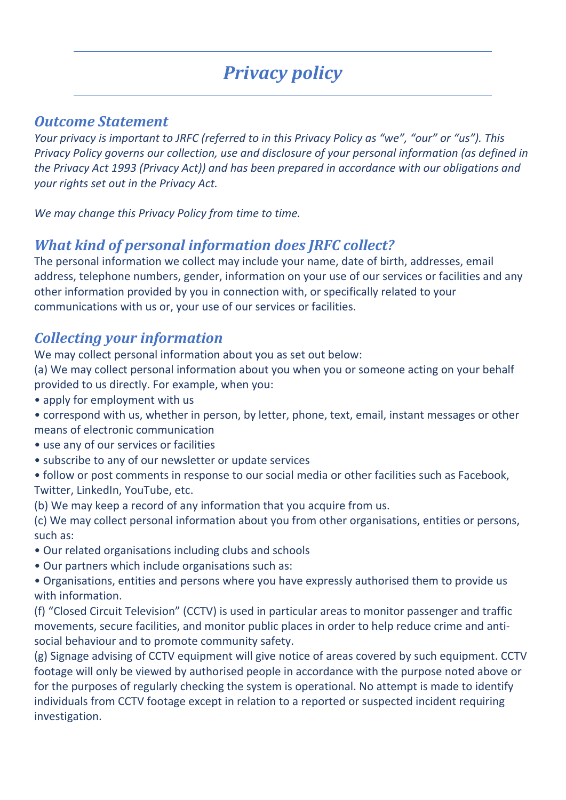# *Privacy policy*

#### *Outcome Statement*

*Your privacy is important to JRFC (referred to in this Privacy Policy as "we", "our" or "us"). This Privacy Policy governs our collection, use and disclosure of your personal information (as defined in the Privacy Act 1993 (Privacy Act)) and has been prepared in accordance with our obligations and your rights set out in the Privacy Act.*

*We may change this Privacy Policy from time to time.*

#### *What kind of personal information does JRFC collect?*

The personal information we collect may include your name, date of birth, addresses, email address, telephone numbers, gender, information on your use of our services or facilities and any other information provided by you in connection with, or specifically related to your communications with us or, your use of our services or facilities.

#### *Collecting your information*

We may collect personal information about you as set out below:

(a) We may collect personal information about you when you or someone acting on your behalf provided to us directly. For example, when you:

• apply for employment with us

- correspond with us, whether in person, by letter, phone, text, email, instant messages or other means of electronic communication
- use any of our services or facilities
- subscribe to any of our newsletter or update services
- follow or post comments in response to our social media or other facilities such as Facebook, Twitter, LinkedIn, YouTube, etc.
- (b) We may keep a record of any information that you acquire from us.

(c) We may collect personal information about you from other organisations, entities or persons, such as:

- Our related organisations including clubs and schools
- Our partners which include organisations such as:

• Organisations, entities and persons where you have expressly authorised them to provide us with information.

(f) "Closed Circuit Television" (CCTV) is used in particular areas to monitor passenger and traffic movements, secure facilities, and monitor public places in order to help reduce crime and antisocial behaviour and to promote community safety.

(g) Signage advising of CCTV equipment will give notice of areas covered by such equipment. CCTV footage will only be viewed by authorised people in accordance with the purpose noted above or for the purposes of regularly checking the system is operational. No attempt is made to identify individuals from CCTV footage except in relation to a reported or suspected incident requiring investigation.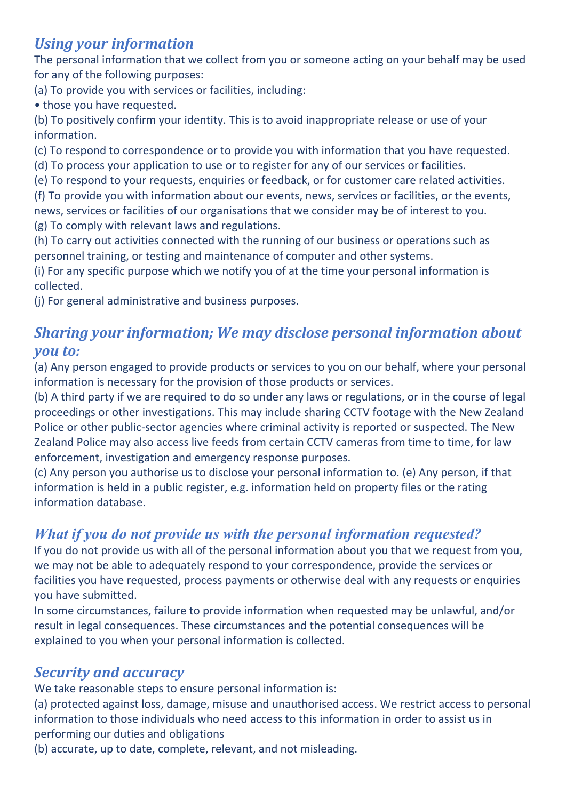# *Using your information*

The personal information that we collect from you or someone acting on your behalf may be used for any of the following purposes:

(a) To provide you with services or facilities, including:

• those you have requested.

(b) To positively confirm your identity. This is to avoid inappropriate release or use of your information.

(c) To respond to correspondence or to provide you with information that you have requested.

(d) To process your application to use or to register for any of our services or facilities.

(e) To respond to your requests, enquiries or feedback, or for customer care related activities.

(f) To provide you with information about our events, news, services or facilities, or the events, news, services or facilities of our organisations that we consider may be of interest to you. (g) To comply with relevant laws and regulations.

(h) To carry out activities connected with the running of our business or operations such as personnel training, or testing and maintenance of computer and other systems.

(i) For any specific purpose which we notify you of at the time your personal information is collected.

(j) For general administrative and business purposes.

# *Sharing your information; We may disclose personal information about you to:*

(a) Any person engaged to provide products or services to you on our behalf, where your personal information is necessary for the provision of those products or services.

(b) A third party if we are required to do so under any laws or regulations, or in the course of legal proceedings or other investigations. This may include sharing CCTV footage with the New Zealand Police or other public-sector agencies where criminal activity is reported or suspected. The New Zealand Police may also access live feeds from certain CCTV cameras from time to time, for law enforcement, investigation and emergency response purposes.

(c) Any person you authorise us to disclose your personal information to. (e) Any person, if that information is held in a public register, e.g. information held on property files or the rating information database.

## *What if you do not provide us with the personal information requested?*

If you do not provide us with all of the personal information about you that we request from you, we may not be able to adequately respond to your correspondence, provide the services or facilities you have requested, process payments or otherwise deal with any requests or enquiries you have submitted.

In some circumstances, failure to provide information when requested may be unlawful, and/or result in legal consequences. These circumstances and the potential consequences will be explained to you when your personal information is collected.

## *Security and accuracy*

We take reasonable steps to ensure personal information is:

(a) protected against loss, damage, misuse and unauthorised access. We restrict access to personal information to those individuals who need access to this information in order to assist us in performing our duties and obligations

(b) accurate, up to date, complete, relevant, and not misleading.